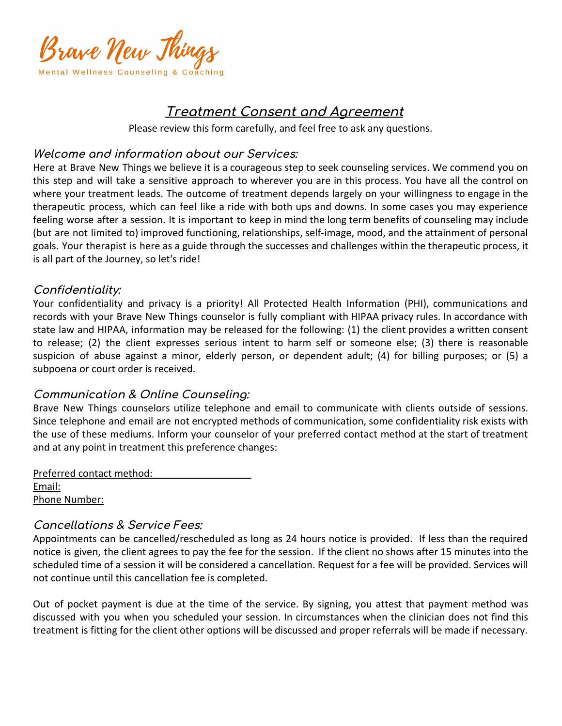

# **Treatment Consent and Agreement**

Please review this form carefully, and feel free to ask any questions.

### **Welcome and information about our Services:**

Here at Brave New Things we believe it is a courageous step to seek counseling services. We commend you on this step and will take a sensitive approach to wherever you are in this process. You have all the control on where your treatment leads. The outcome of treatment depends largely on your willingness to engage in the therapeutic process, which can feel like a ride with both ups and downs. In some cases you may experience feeling worse after a session. It is important to keep in mind the long term benefits of counseling may include (but are not limited to) improved functioning, relationships, self-image, mood, and the attainment of personal goals. Your therapist is here as a guide through the successes and challenges within the therapeutic process, it is all part of the Journey, so let's ride!

## **Confidentiality:**

Your confidentiality and privacy is a priority! All Protected Health Information (PHI), communications and records with your Brave New Things counselor is fully compliant with HIPAA privacy rules. In accordance with state law and HIPAA, information may be released for the following: (1) the client provides a written consent to release; (2) the client expresses serious intent to harm self or someone else; (3) there is reasonable suspicion of abuse against a minor, elderly person, or dependent adult; (4) for billing purposes; or (5) a subpoena or court order is received.

## **Communication & Online Counseling:**

Brave New Things counselors utilize telephone and email to communicate with clients outside of sessions. Since telephone and email are not encrypted methods of communication, some confidentiality risk exists with the use of these mediums. Inform your counselor of your preferred contact method at the start of treatment and at any point in treatment this preference changes:

Preferred contact method: Email: Phone Number:

## **Cancellations & Service Fees:**

Appointments can be cancelled/rescheduled as long as 24 hours notice is provided. If less than the required notice is given, the client agrees to pay the fee for the session. If the client no shows after 15 minutes into the scheduled time of a session it will be considered a cancellation. Request for a fee will be provided. Services will not continue until this cancellation fee is completed.

Out of pocket payment is due at the time of the service. By signing, you attest that payment method was discussed with you when you scheduled your session. In circumstances when the clinician does not find this treatment is fitting for the client other options will be discussed and proper referrals will be made if necessary.